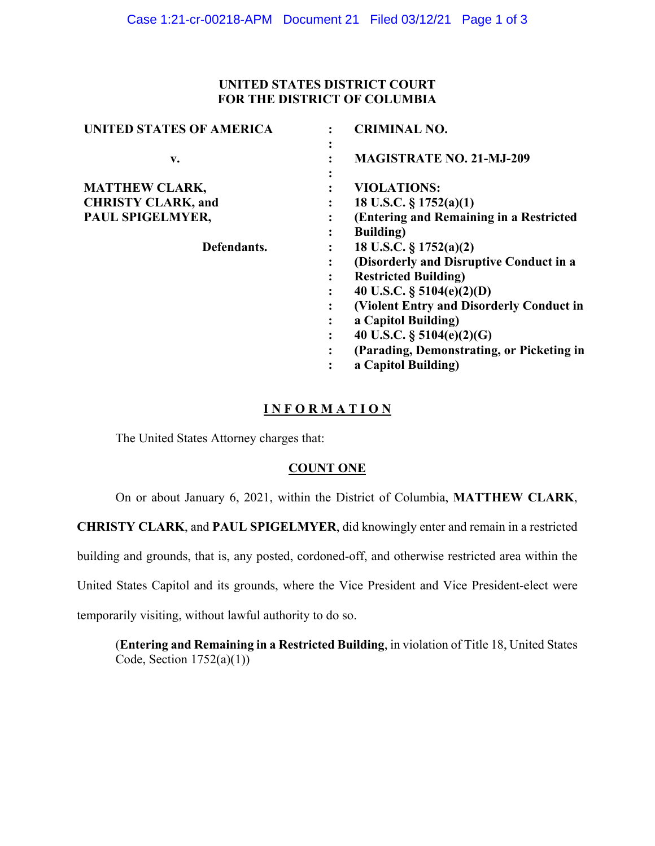# **UNITED STATES DISTRICT COURT FOR THE DISTRICT OF COLUMBIA**

| <b>UNITED STATES OF AMERICA</b> |   | <b>CRIMINAL NO.</b>                       |
|---------------------------------|---|-------------------------------------------|
| $\mathbf{v}$ .                  |   | <b>MAGISTRATE NO. 21-MJ-209</b>           |
| <b>MATTHEW CLARK,</b>           |   | <b>VIOLATIONS:</b>                        |
| <b>CHRISTY CLARK, and</b>       |   | 18 U.S.C. $\S 1752(a)(1)$                 |
| PAUL SPIGELMYER,                |   | (Entering and Remaining in a Restricted   |
|                                 | ٠ | <b>Building</b> )                         |
| Defendants.                     |   | 18 U.S.C. $\S 1752(a)(2)$                 |
|                                 |   | (Disorderly and Disruptive Conduct in a   |
|                                 | ٠ | <b>Restricted Building)</b>               |
|                                 |   | 40 U.S.C. $\S$ 5104(e)(2)(D)              |
|                                 |   | (Violent Entry and Disorderly Conduct in  |
|                                 |   | a Capitol Building)                       |
|                                 |   | 40 U.S.C. § $5104(e)(2)(G)$               |
|                                 |   | (Parading, Demonstrating, or Picketing in |
|                                 |   | a Capitol Building)                       |
|                                 |   |                                           |

# **I N F O R M A T I O N**

The United States Attorney charges that:

# **COUNT ONE**

On or about January 6, 2021, within the District of Columbia, **MATTHEW CLARK**,

**CHRISTY CLARK**, and **PAUL SPIGELMYER**, did knowingly enter and remain in a restricted

building and grounds, that is, any posted, cordoned-off, and otherwise restricted area within the

United States Capitol and its grounds, where the Vice President and Vice President-elect were

temporarily visiting, without lawful authority to do so.

(**Entering and Remaining in a Restricted Building**, in violation of Title 18, United States Code, Section  $1752(a)(1)$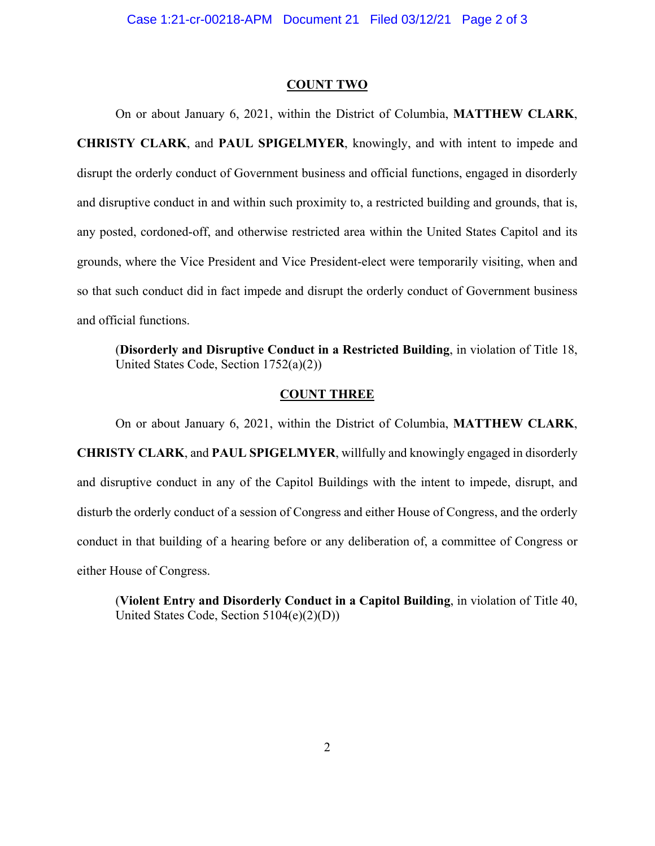#### **COUNT TWO**

On or about January 6, 2021, within the District of Columbia, **MATTHEW CLARK**, **CHRISTY CLARK**, and **PAUL SPIGELMYER**, knowingly, and with intent to impede and disrupt the orderly conduct of Government business and official functions, engaged in disorderly and disruptive conduct in and within such proximity to, a restricted building and grounds, that is, any posted, cordoned-off, and otherwise restricted area within the United States Capitol and its grounds, where the Vice President and Vice President-elect were temporarily visiting, when and so that such conduct did in fact impede and disrupt the orderly conduct of Government business and official functions.

 (**Disorderly and Disruptive Conduct in a Restricted Building**, in violation of Title 18, United States Code, Section 1752(a)(2))

### **COUNT THREE**

On or about January 6, 2021, within the District of Columbia, **MATTHEW CLARK**, **CHRISTY CLARK**, and **PAUL SPIGELMYER**, willfully and knowingly engaged in disorderly and disruptive conduct in any of the Capitol Buildings with the intent to impede, disrupt, and disturb the orderly conduct of a session of Congress and either House of Congress, and the orderly conduct in that building of a hearing before or any deliberation of, a committee of Congress or either House of Congress.

(**Violent Entry and Disorderly Conduct in a Capitol Building**, in violation of Title 40, United States Code, Section 5104(e)(2)(D))